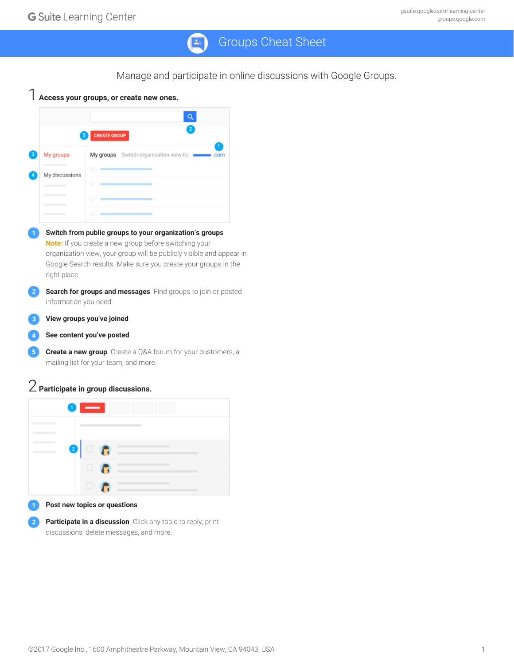## Groups Cheat Sheet  $24$

Manage and participate in online discussions with Google Groups.



**Participate in a discussion** Click any topic to reply, print discussions, delete messages, and more.